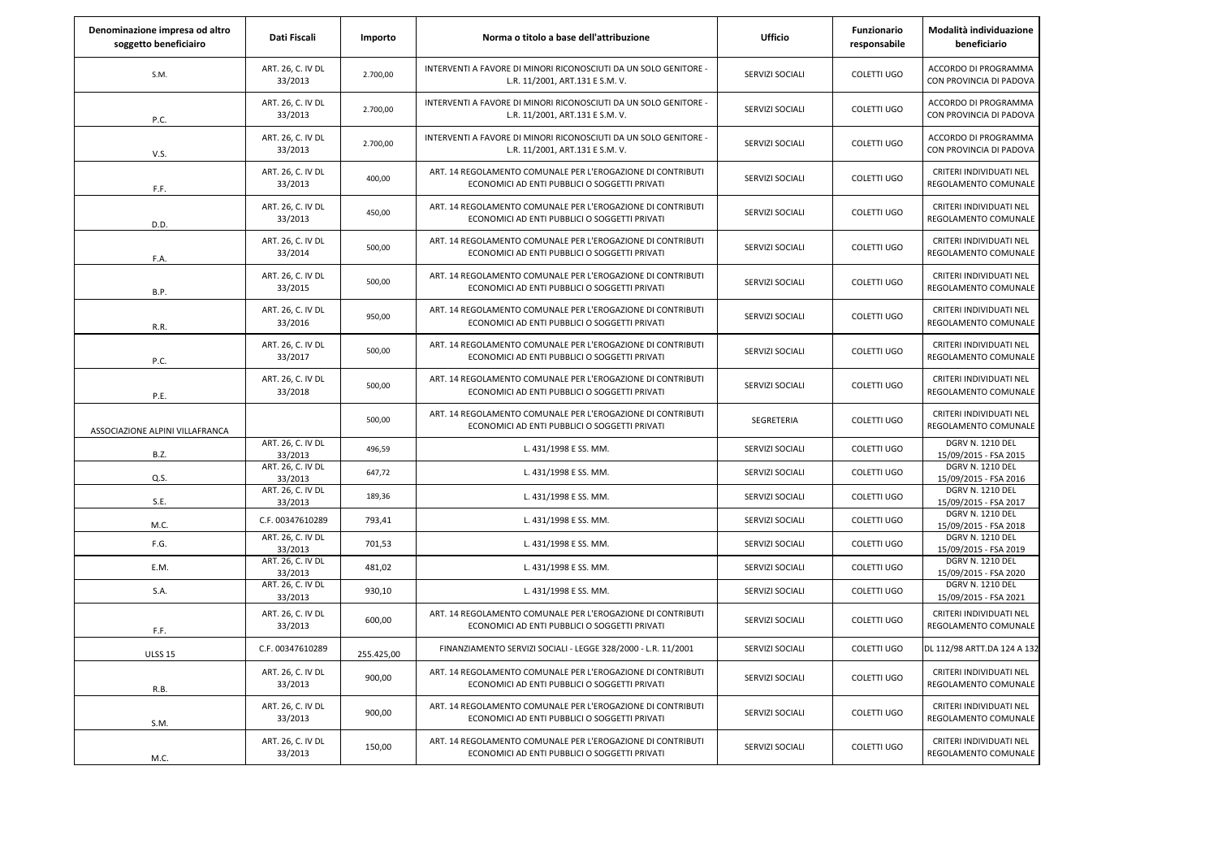| Denominazione impresa od altro<br>soggetto beneficiairo | Dati Fiscali                 | Importo    | Norma o titolo a base dell'attribuzione                                                                      | <b>Ufficio</b>  | Funzionario<br>responsabile | Modalità individuazione<br>beneficiario          |
|---------------------------------------------------------|------------------------------|------------|--------------------------------------------------------------------------------------------------------------|-----------------|-----------------------------|--------------------------------------------------|
| S.M.                                                    | ART. 26, C. IV DL<br>33/2013 | 2.700,00   | INTERVENTI A FAVORE DI MINORI RICONOSCIUTI DA UN SOLO GENITORE -<br>L.R. 11/2001, ART.131 E S.M. V.          | SERVIZI SOCIALI | COLETTI UGO                 | ACCORDO DI PROGRAMMA<br>CON PROVINCIA DI PADOVA  |
| P.C.                                                    | ART. 26, C. IV DL<br>33/2013 | 2.700,00   | INTERVENTI A FAVORE DI MINORI RICONOSCIUTI DA UN SOLO GENITORE -<br>L.R. 11/2001, ART.131 E S.M. V.          | SERVIZI SOCIALI | COLETTI UGO                 | ACCORDO DI PROGRAMMA<br>CON PROVINCIA DI PADOVA  |
| V.S.                                                    | ART. 26, C. IV DL<br>33/2013 | 2.700,00   | INTERVENTI A FAVORE DI MINORI RICONOSCIUTI DA UN SOLO GENITORE -<br>L.R. 11/2001, ART.131 E S.M. V.          | SERVIZI SOCIALI | COLETTI UGO                 | ACCORDO DI PROGRAMMA<br>CON PROVINCIA DI PADOVA  |
| F.F.                                                    | ART. 26, C. IV DL<br>33/2013 | 400,00     | ART. 14 REGOLAMENTO COMUNALE PER L'EROGAZIONE DI CONTRIBUTI<br>ECONOMICI AD ENTI PUBBLICI O SOGGETTI PRIVATI | SERVIZI SOCIALI | COLETTI UGO                 | CRITERI INDIVIDUATI NEL<br>REGOLAMENTO COMUNALE  |
| D.D.                                                    | ART. 26, C. IV DL<br>33/2013 | 450,00     | ART. 14 REGOLAMENTO COMUNALE PER L'EROGAZIONE DI CONTRIBUTI<br>ECONOMICI AD ENTI PUBBLICI O SOGGETTI PRIVATI | SERVIZI SOCIALI | COLETTI UGO                 | CRITERI INDIVIDUATI NEL<br>REGOLAMENTO COMUNALE  |
| F.A.                                                    | ART. 26, C. IV DL<br>33/2014 | 500,00     | ART. 14 REGOLAMENTO COMUNALE PER L'EROGAZIONE DI CONTRIBUTI<br>ECONOMICI AD ENTI PUBBLICI O SOGGETTI PRIVATI | SERVIZI SOCIALI | COLETTI UGO                 | CRITERI INDIVIDUATI NEL<br>REGOLAMENTO COMUNALE  |
| B.P.                                                    | ART. 26, C. IV DL<br>33/2015 | 500,00     | ART. 14 REGOLAMENTO COMUNALE PER L'EROGAZIONE DI CONTRIBUTI<br>ECONOMICI AD ENTI PUBBLICI O SOGGETTI PRIVATI | SERVIZI SOCIALI | COLETTI UGO                 | CRITERI INDIVIDUATI NEL<br>REGOLAMENTO COMUNALE  |
| R.R.                                                    | ART. 26, C. IV DL<br>33/2016 | 950,00     | ART. 14 REGOLAMENTO COMUNALE PER L'EROGAZIONE DI CONTRIBUTI<br>ECONOMICI AD ENTI PUBBLICI O SOGGETTI PRIVATI | SERVIZI SOCIALI | COLETTI UGO                 | CRITERI INDIVIDUATI NEL<br>REGOLAMENTO COMUNALE  |
| P.C.                                                    | ART. 26, C. IV DL<br>33/2017 | 500,00     | ART. 14 REGOLAMENTO COMUNALE PER L'EROGAZIONE DI CONTRIBUTI<br>ECONOMICI AD ENTI PUBBLICI O SOGGETTI PRIVATI | SERVIZI SOCIALI | COLETTI UGO                 | CRITERI INDIVIDUATI NEL<br>REGOLAMENTO COMUNALE  |
| P.E.                                                    | ART. 26, C. IV DL<br>33/2018 | 500,00     | ART. 14 REGOLAMENTO COMUNALE PER L'EROGAZIONE DI CONTRIBUTI<br>ECONOMICI AD ENTI PUBBLICI O SOGGETTI PRIVATI | SERVIZI SOCIALI | COLETTI UGO                 | CRITERI INDIVIDUATI NEL<br>REGOLAMENTO COMUNALE  |
| ASSOCIAZIONE ALPINI VILLAFRANCA                         |                              | 500,00     | ART. 14 REGOLAMENTO COMUNALE PER L'EROGAZIONE DI CONTRIBUTI<br>ECONOMICI AD ENTI PUBBLICI O SOGGETTI PRIVATI | SEGRETERIA      | COLETTI UGO                 | CRITERI INDIVIDUATI NEL<br>REGOLAMENTO COMUNALE  |
| <b>B.Z.</b>                                             | ART. 26, C. IV DL<br>33/2013 | 496,59     | L. 431/1998 E SS. MM.                                                                                        | SERVIZI SOCIALI | COLETTI UGO                 | <b>DGRV N. 1210 DEL</b><br>15/09/2015 - FSA 2015 |
| Q.S.                                                    | ART. 26, C. IV DL<br>33/2013 | 647,72     | L. 431/1998 E SS. MM.                                                                                        | SERVIZI SOCIALI | COLETTI UGO                 | DGRV N. 1210 DEL<br>15/09/2015 - FSA 2016        |
| S.E.                                                    | ART. 26, C. IV DL<br>33/2013 | 189,36     | L. 431/1998 E SS. MM.                                                                                        | SERVIZI SOCIALI | <b>COLETTI UGO</b>          | <b>DGRV N. 1210 DEL</b><br>15/09/2015 - FSA 2017 |
| M.C.                                                    | C.F. 00347610289             | 793,41     | L. 431/1998 E SS. MM.                                                                                        | SERVIZI SOCIALI | COLETTI UGO                 | <b>DGRV N. 1210 DEL</b><br>15/09/2015 - FSA 2018 |
| F.G.                                                    | ART. 26, C. IV DL<br>33/2013 | 701,53     | L. 431/1998 E SS. MM.                                                                                        | SERVIZI SOCIALI | <b>COLETTI UGO</b>          | DGRV N. 1210 DEL<br>15/09/2015 - FSA 2019        |
| E.M.                                                    | ART. 26, C. IV DL<br>33/2013 | 481,02     | L. 431/1998 E SS. MM.                                                                                        | SERVIZI SOCIALI | COLETTI UGO                 | DGRV N. 1210 DEL<br>15/09/2015 - FSA 2020        |
| S.A.                                                    | ART. 26, C. IV DL<br>33/2013 | 930,10     | L. 431/1998 E SS. MM.                                                                                        | SERVIZI SOCIALI | COLETTI UGO                 | <b>DGRV N. 1210 DEL</b><br>15/09/2015 - FSA 2021 |
| F.F.                                                    | ART. 26, C. IV DL<br>33/2013 | 600,00     | ART. 14 REGOLAMENTO COMUNALE PER L'EROGAZIONE DI CONTRIBUTI<br>ECONOMICI AD ENTI PUBBLICI O SOGGETTI PRIVATI | SERVIZI SOCIALI | COLETTI UGO                 | CRITERI INDIVIDUATI NEL<br>REGOLAMENTO COMUNALE  |
| <b>ULSS 15</b>                                          | C.F. 00347610289             | 255.425,00 | FINANZIAMENTO SERVIZI SOCIALI - LEGGE 328/2000 - L.R. 11/2001                                                | SERVIZI SOCIALI | COLETTI UGO                 | DL 112/98 ARTT.DA 124 A 132                      |
| R.B.                                                    | ART. 26, C. IV DL<br>33/2013 | 900,00     | ART. 14 REGOLAMENTO COMUNALE PER L'EROGAZIONE DI CONTRIBUTI<br>ECONOMICI AD ENTI PUBBLICI O SOGGETTI PRIVATI | SERVIZI SOCIALI | COLETTI UGO                 | CRITERI INDIVIDUATI NEL<br>REGOLAMENTO COMUNALE  |
| S.M.                                                    | ART. 26, C. IV DL<br>33/2013 | 900,00     | ART. 14 REGOLAMENTO COMUNALE PER L'EROGAZIONE DI CONTRIBUTI<br>ECONOMICI AD ENTI PUBBLICI O SOGGETTI PRIVATI | SERVIZI SOCIALI | COLETTI UGO                 | CRITERI INDIVIDUATI NEL<br>REGOLAMENTO COMUNALE  |
| M.C.                                                    | ART. 26, C. IV DL<br>33/2013 | 150,00     | ART. 14 REGOLAMENTO COMUNALE PER L'EROGAZIONE DI CONTRIBUTI<br>ECONOMICI AD ENTI PUBBLICI O SOGGETTI PRIVATI | SERVIZI SOCIALI | COLETTI UGO                 | CRITERI INDIVIDUATI NEL<br>REGOLAMENTO COMUNALE  |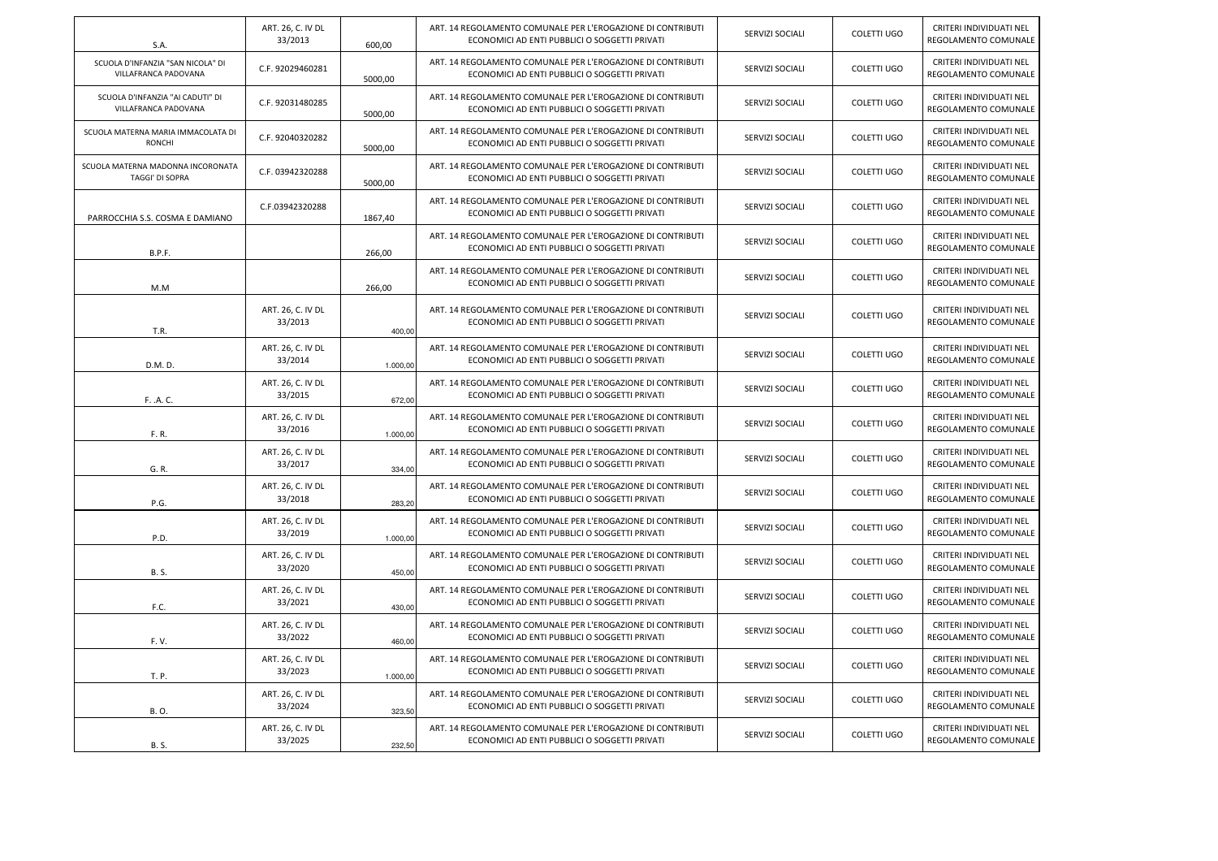| S.A.                                                      | ART. 26, C. IV DL<br>33/2013 | 600,00   | ART. 14 REGOLAMENTO COMUNALE PER L'EROGAZIONE DI CONTRIBUTI<br>ECONOMICI AD ENTI PUBBLICI O SOGGETTI PRIVATI | SERVIZI SOCIALI | COLETTI UGO        | CRITERI INDIVIDUATI NEL<br>REGOLAMENTO COMUNALE |
|-----------------------------------------------------------|------------------------------|----------|--------------------------------------------------------------------------------------------------------------|-----------------|--------------------|-------------------------------------------------|
| SCUOLA D'INFANZIA "SAN NICOLA" DI<br>VILLAFRANCA PADOVANA | C.F. 92029460281             | 5000,00  | ART. 14 REGOLAMENTO COMUNALE PER L'EROGAZIONE DI CONTRIBUTI<br>ECONOMICI AD ENTI PUBBLICI O SOGGETTI PRIVATI | SERVIZI SOCIALI | <b>COLETTI UGO</b> | CRITERI INDIVIDUATI NEL<br>REGOLAMENTO COMUNALE |
| SCUOLA D'INFANZIA "AI CADUTI" DI<br>VILLAFRANCA PADOVANA  | C.F. 92031480285             | 5000,00  | ART. 14 REGOLAMENTO COMUNALE PER L'EROGAZIONE DI CONTRIBUTI<br>ECONOMICI AD ENTI PUBBLICI O SOGGETTI PRIVATI | SERVIZI SOCIALI | COLETTI UGO        | CRITERI INDIVIDUATI NEL<br>REGOLAMENTO COMUNALE |
| SCUOLA MATERNA MARIA IMMACOLATA DI<br><b>RONCHI</b>       | C.F. 92040320282             | 5000,00  | ART. 14 REGOLAMENTO COMUNALE PER L'EROGAZIONE DI CONTRIBUTI<br>ECONOMICI AD ENTI PUBBLICI O SOGGETTI PRIVATI | SERVIZI SOCIALI | COLETTI UGO        | CRITERI INDIVIDUATI NEL<br>REGOLAMENTO COMUNALE |
| SCUOLA MATERNA MADONNA INCORONATA<br>TAGGI' DI SOPRA      | C.F. 03942320288             | 5000,00  | ART. 14 REGOLAMENTO COMUNALE PER L'EROGAZIONE DI CONTRIBUTI<br>ECONOMICI AD ENTI PUBBLICI O SOGGETTI PRIVATI | SERVIZI SOCIALI | COLETTI UGO        | CRITERI INDIVIDUATI NEL<br>REGOLAMENTO COMUNALE |
| PARROCCHIA S.S. COSMA E DAMIANO                           | C.F.03942320288              | 1867,40  | ART. 14 REGOLAMENTO COMUNALE PER L'EROGAZIONE DI CONTRIBUTI<br>ECONOMICI AD ENTI PUBBLICI O SOGGETTI PRIVATI | SERVIZI SOCIALI | COLETTI UGO        | CRITERI INDIVIDUATI NEL<br>REGOLAMENTO COMUNALE |
| B.P.F.                                                    |                              | 266,00   | ART. 14 REGOLAMENTO COMUNALE PER L'EROGAZIONE DI CONTRIBUTI<br>ECONOMICI AD ENTI PUBBLICI O SOGGETTI PRIVATI | SERVIZI SOCIALI | <b>COLETTI UGO</b> | CRITERI INDIVIDUATI NEL<br>REGOLAMENTO COMUNALE |
| M.M                                                       |                              | 266,00   | ART. 14 REGOLAMENTO COMUNALE PER L'EROGAZIONE DI CONTRIBUTI<br>ECONOMICI AD ENTI PUBBLICI O SOGGETTI PRIVATI | SERVIZI SOCIALI | <b>COLETTI UGO</b> | CRITERI INDIVIDUATI NEL<br>REGOLAMENTO COMUNALE |
| T.R.                                                      | ART. 26, C. IV DL<br>33/2013 | 400.00   | ART. 14 REGOLAMENTO COMUNALE PER L'EROGAZIONE DI CONTRIBUTI<br>ECONOMICI AD ENTI PUBBLICI O SOGGETTI PRIVATI | SERVIZI SOCIALI | <b>COLETTI UGO</b> | CRITERI INDIVIDUATI NEL<br>REGOLAMENTO COMUNALE |
| D.M.D.                                                    | ART. 26, C. IV DL<br>33/2014 | 1.000,00 | ART. 14 REGOLAMENTO COMUNALE PER L'EROGAZIONE DI CONTRIBUTI<br>ECONOMICI AD ENTI PUBBLICI O SOGGETTI PRIVATI | SERVIZI SOCIALI | COLETTI UGO        | CRITERI INDIVIDUATI NEL<br>REGOLAMENTO COMUNALE |
| F. .A. C.                                                 | ART. 26, C. IV DL<br>33/2015 | 672,00   | ART. 14 REGOLAMENTO COMUNALE PER L'EROGAZIONE DI CONTRIBUTI<br>ECONOMICI AD ENTI PUBBLICI O SOGGETTI PRIVATI | SERVIZI SOCIALI | <b>COLETTI UGO</b> | CRITERI INDIVIDUATI NEL<br>REGOLAMENTO COMUNALE |
| F. R.                                                     | ART. 26, C. IV DL<br>33/2016 | 1.000,00 | ART. 14 REGOLAMENTO COMUNALE PER L'EROGAZIONE DI CONTRIBUTI<br>ECONOMICI AD ENTI PUBBLICI O SOGGETTI PRIVATI | SERVIZI SOCIALI | COLETTI UGO        | CRITERI INDIVIDUATI NEL<br>REGOLAMENTO COMUNALE |
| G. R.                                                     | ART. 26, C. IV DL<br>33/2017 | 334,00   | ART. 14 REGOLAMENTO COMUNALE PER L'EROGAZIONE DI CONTRIBUTI<br>ECONOMICI AD ENTI PUBBLICI O SOGGETTI PRIVATI | SERVIZI SOCIALI | <b>COLETTI UGO</b> | CRITERI INDIVIDUATI NEL<br>REGOLAMENTO COMUNALE |
| P.G.                                                      | ART. 26, C. IV DL<br>33/2018 | 283,20   | ART. 14 REGOLAMENTO COMUNALE PER L'EROGAZIONE DI CONTRIBUTI<br>ECONOMICI AD ENTI PUBBLICI O SOGGETTI PRIVATI | SERVIZI SOCIALI | COLETTI UGO        | CRITERI INDIVIDUATI NEL<br>REGOLAMENTO COMUNALE |
| P.D.                                                      | ART. 26, C. IV DL<br>33/2019 | 1.000,00 | ART. 14 REGOLAMENTO COMUNALE PER L'EROGAZIONE DI CONTRIBUTI<br>ECONOMICI AD ENTI PUBBLICI O SOGGETTI PRIVATI | SERVIZI SOCIALI | COLETTI UGO        | CRITERI INDIVIDUATI NEL<br>REGOLAMENTO COMUNALE |
| <b>B.S.</b>                                               | ART. 26, C. IV DL<br>33/2020 | 450,00   | ART. 14 REGOLAMENTO COMUNALE PER L'EROGAZIONE DI CONTRIBUTI<br>ECONOMICI AD ENTI PUBBLICI O SOGGETTI PRIVATI | SERVIZI SOCIALI | <b>COLETTI UGO</b> | CRITERI INDIVIDUATI NEL<br>REGOLAMENTO COMUNALE |
| F.C.                                                      | ART. 26, C. IV DL<br>33/2021 | 430,00   | ART. 14 REGOLAMENTO COMUNALE PER L'EROGAZIONE DI CONTRIBUTI<br>ECONOMICI AD ENTI PUBBLICI O SOGGETTI PRIVATI | SERVIZI SOCIALI | COLETTI UGO        | CRITERI INDIVIDUATI NEL<br>REGOLAMENTO COMUNALE |
| F.V.                                                      | ART. 26, C. IV DL<br>33/2022 | 460,00   | ART. 14 REGOLAMENTO COMUNALE PER L'EROGAZIONE DI CONTRIBUTI<br>ECONOMICI AD ENTI PUBBLICI O SOGGETTI PRIVATI | SERVIZI SOCIALI | COLETTI UGO        | CRITERI INDIVIDUATI NEL<br>REGOLAMENTO COMUNALE |
| T. P.                                                     | ART. 26, C. IV DL<br>33/2023 | 1.000,00 | ART. 14 REGOLAMENTO COMUNALE PER L'EROGAZIONE DI CONTRIBUTI<br>ECONOMICI AD ENTI PUBBLICI O SOGGETTI PRIVATI | SERVIZI SOCIALI | <b>COLETTI UGO</b> | CRITERI INDIVIDUATI NEL<br>REGOLAMENTO COMUNALE |
| <b>B.O.</b>                                               | ART. 26, C. IV DL<br>33/2024 | 323,50   | ART. 14 REGOLAMENTO COMUNALE PER L'EROGAZIONE DI CONTRIBUTI<br>ECONOMICI AD ENTI PUBBLICI O SOGGETTI PRIVATI | SERVIZI SOCIALI | <b>COLETTI UGO</b> | CRITERI INDIVIDUATI NEL<br>REGOLAMENTO COMUNALE |
| <b>B.S.</b>                                               | ART. 26, C. IV DL<br>33/2025 | 232,50   | ART. 14 REGOLAMENTO COMUNALE PER L'EROGAZIONE DI CONTRIBUTI<br>ECONOMICI AD ENTI PUBBLICI O SOGGETTI PRIVATI | SERVIZI SOCIALI | COLETTI UGO        | CRITERI INDIVIDUATI NEL<br>REGOLAMENTO COMUNALE |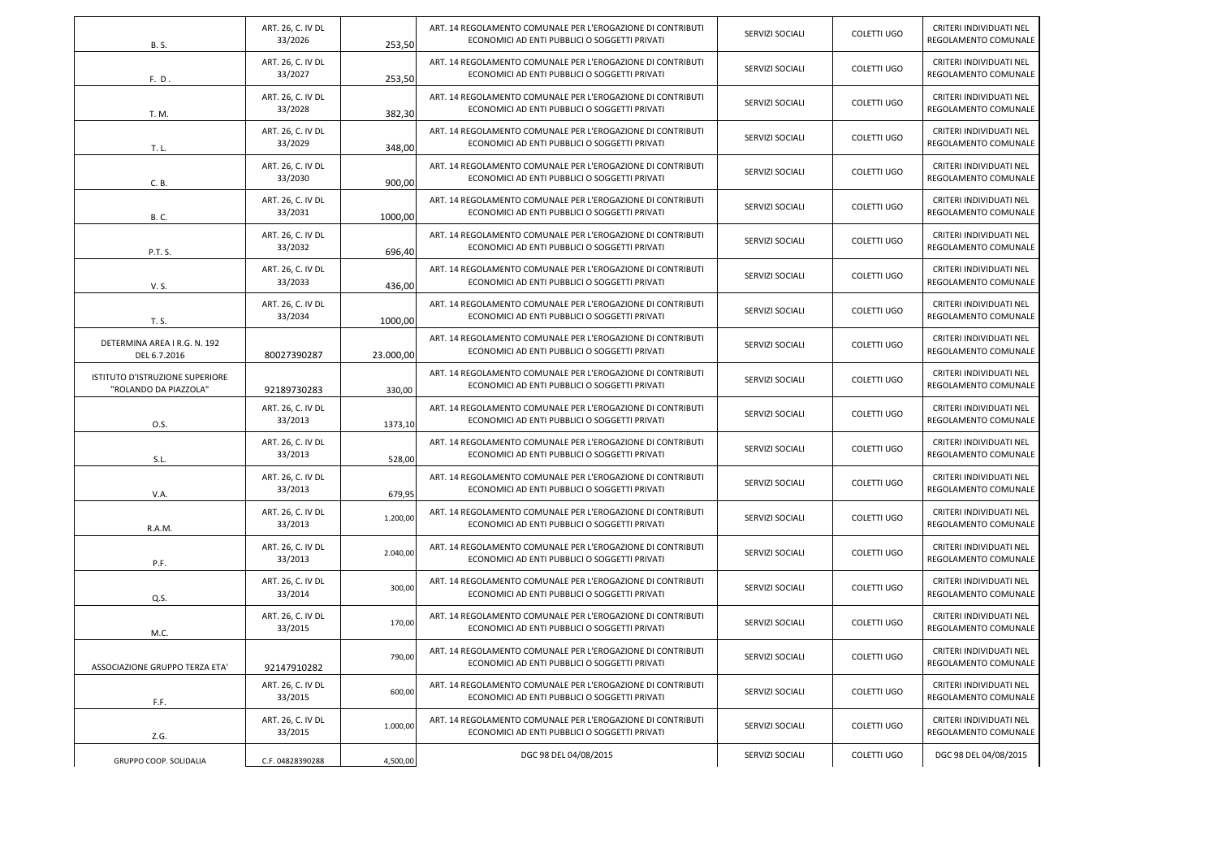| <b>B.S.</b>                                              | ART. 26, C. IV DL<br>33/2026 | 253.50    | ART. 14 REGOLAMENTO COMUNALE PER L'EROGAZIONE DI CONTRIBUTI<br>ECONOMICI AD ENTI PUBBLICI O SOGGETTI PRIVATI | SERVIZI SOCIALI | COLETTI UGO | CRITERI INDIVIDUATI NEL<br>REGOLAMENTO COMUNALE |
|----------------------------------------------------------|------------------------------|-----------|--------------------------------------------------------------------------------------------------------------|-----------------|-------------|-------------------------------------------------|
| F. D.                                                    | ART. 26, C. IV DL<br>33/2027 | 253,50    | ART. 14 REGOLAMENTO COMUNALE PER L'EROGAZIONE DI CONTRIBUTI<br>ECONOMICI AD ENTI PUBBLICI O SOGGETTI PRIVATI | SERVIZI SOCIALI | COLETTI UGO | CRITERI INDIVIDUATI NEL<br>REGOLAMENTO COMUNALE |
| T. M.                                                    | ART. 26, C. IV DL<br>33/2028 | 382,30    | ART. 14 REGOLAMENTO COMUNALE PER L'EROGAZIONE DI CONTRIBUTI<br>ECONOMICI AD ENTI PUBBLICI O SOGGETTI PRIVATI | SERVIZI SOCIALI | COLETTI UGO | CRITERI INDIVIDUATI NEL<br>REGOLAMENTO COMUNALE |
| T. L.                                                    | ART. 26, C. IV DL<br>33/2029 | 348,00    | ART. 14 REGOLAMENTO COMUNALE PER L'EROGAZIONE DI CONTRIBUTI<br>ECONOMICI AD ENTI PUBBLICI O SOGGETTI PRIVATI | SERVIZI SOCIALI | COLETTI UGO | CRITERI INDIVIDUATI NEL<br>REGOLAMENTO COMUNALE |
| C. B.                                                    | ART. 26, C. IV DL<br>33/2030 | 900,00    | ART. 14 REGOLAMENTO COMUNALE PER L'EROGAZIONE DI CONTRIBUTI<br>ECONOMICI AD ENTI PUBBLICI O SOGGETTI PRIVATI | SERVIZI SOCIALI | COLETTI UGO | CRITERI INDIVIDUATI NEL<br>REGOLAMENTO COMUNALE |
| <b>B.C.</b>                                              | ART. 26, C. IV DL<br>33/2031 | 1000,00   | ART. 14 REGOLAMENTO COMUNALE PER L'EROGAZIONE DI CONTRIBUTI<br>ECONOMICI AD ENTI PUBBLICI O SOGGETTI PRIVATI | SERVIZI SOCIALI | COLETTI UGO | CRITERI INDIVIDUATI NEL<br>REGOLAMENTO COMUNALE |
| P.T. S.                                                  | ART. 26, C. IV DL<br>33/2032 | 696,40    | ART. 14 REGOLAMENTO COMUNALE PER L'EROGAZIONE DI CONTRIBUTI<br>ECONOMICI AD ENTI PUBBLICI O SOGGETTI PRIVATI | SERVIZI SOCIALI | COLETTI UGO | CRITERI INDIVIDUATI NEL<br>REGOLAMENTO COMUNALE |
| V. S.                                                    | ART. 26, C. IV DL<br>33/2033 | 436.00    | ART. 14 REGOLAMENTO COMUNALE PER L'EROGAZIONE DI CONTRIBUTI<br>ECONOMICI AD ENTI PUBBLICI O SOGGETTI PRIVATI | SERVIZI SOCIALI | COLETTI UGO | CRITERI INDIVIDUATI NEL<br>REGOLAMENTO COMUNALE |
| T. S.                                                    | ART. 26, C. IV DL<br>33/2034 | 1000,00   | ART. 14 REGOLAMENTO COMUNALE PER L'EROGAZIONE DI CONTRIBUTI<br>ECONOMICI AD ENTI PUBBLICI O SOGGETTI PRIVATI | SERVIZI SOCIALI | COLETTI UGO | CRITERI INDIVIDUATI NEL<br>REGOLAMENTO COMUNALE |
| DETERMINA AREA I R.G. N. 192<br>DEL 6.7.2016             | 80027390287                  | 23.000,00 | ART. 14 REGOLAMENTO COMUNALE PER L'EROGAZIONE DI CONTRIBUTI<br>ECONOMICI AD ENTI PUBBLICI O SOGGETTI PRIVATI | SERVIZI SOCIALI | COLETTI UGO | CRITERI INDIVIDUATI NEL<br>REGOLAMENTO COMUNALE |
| ISTITUTO D'ISTRUZIONE SUPERIORE<br>"ROLANDO DA PIAZZOLA" | 92189730283                  | 330,00    | ART. 14 REGOLAMENTO COMUNALE PER L'EROGAZIONE DI CONTRIBUTI<br>ECONOMICI AD ENTI PUBBLICI O SOGGETTI PRIVATI | SERVIZI SOCIALI | COLETTI UGO | CRITERI INDIVIDUATI NEL<br>REGOLAMENTO COMUNALE |
| O.S.                                                     | ART. 26, C. IV DL<br>33/2013 | 1373,10   | ART. 14 REGOLAMENTO COMUNALE PER L'EROGAZIONE DI CONTRIBUTI<br>ECONOMICI AD ENTI PUBBLICI O SOGGETTI PRIVATI | SERVIZI SOCIALI | COLETTI UGO | CRITERI INDIVIDUATI NEL<br>REGOLAMENTO COMUNALE |
| S.L.                                                     | ART. 26, C. IV DL<br>33/2013 | 528,00    | ART. 14 REGOLAMENTO COMUNALE PER L'EROGAZIONE DI CONTRIBUTI<br>ECONOMICI AD ENTI PUBBLICI O SOGGETTI PRIVATI | SERVIZI SOCIALI | COLETTI UGO | CRITERI INDIVIDUATI NEL<br>REGOLAMENTO COMUNALE |
| V.A.                                                     | ART. 26, C. IV DL<br>33/2013 | 679,95    | ART. 14 REGOLAMENTO COMUNALE PER L'EROGAZIONE DI CONTRIBUTI<br>ECONOMICI AD ENTI PUBBLICI O SOGGETTI PRIVATI | SERVIZI SOCIALI | COLETTI UGO | CRITERI INDIVIDUATI NEL<br>REGOLAMENTO COMUNALE |
| R.A.M.                                                   | ART. 26, C. IV DL<br>33/2013 | 1.200,00  | ART. 14 REGOLAMENTO COMUNALE PER L'EROGAZIONE DI CONTRIBUTI<br>ECONOMICI AD ENTI PUBBLICI O SOGGETTI PRIVATI | SERVIZI SOCIALI | COLETTI UGO | CRITERI INDIVIDUATI NEL<br>REGOLAMENTO COMUNALE |
| P.F.                                                     | ART. 26, C. IV DL<br>33/2013 | 2.040,00  | ART. 14 REGOLAMENTO COMUNALE PER L'EROGAZIONE DI CONTRIBUTI<br>ECONOMICI AD ENTI PUBBLICI O SOGGETTI PRIVATI | SERVIZI SOCIALI | COLETTI UGO | CRITERI INDIVIDUATI NEL<br>REGOLAMENTO COMUNALE |
| Q.S.                                                     | ART. 26, C. IV DL<br>33/2014 | 300,00    | ART. 14 REGOLAMENTO COMUNALE PER L'EROGAZIONE DI CONTRIBUTI<br>ECONOMICI AD ENTI PUBBLICI O SOGGETTI PRIVATI | SERVIZI SOCIALI | COLETTI UGO | CRITERI INDIVIDUATI NEL<br>REGOLAMENTO COMUNALE |
| M.C.                                                     | ART. 26, C. IV DL<br>33/2015 | 170,00    | ART. 14 REGOLAMENTO COMUNALE PER L'EROGAZIONE DI CONTRIBUTI<br>ECONOMICI AD ENTI PUBBLICI O SOGGETTI PRIVATI | SERVIZI SOCIALI | COLETTI UGO | CRITERI INDIVIDUATI NEL<br>REGOLAMENTO COMUNALE |
| ASSOCIAZIONE GRUPPO TERZA ETA'                           | 92147910282                  | 790,00    | ART. 14 REGOLAMENTO COMUNALE PER L'EROGAZIONE DI CONTRIBUTI<br>ECONOMICI AD ENTI PUBBLICI O SOGGETTI PRIVATI | SERVIZI SOCIALI | COLETTI UGO | CRITERI INDIVIDUATI NEL<br>REGOLAMENTO COMUNALE |
| F.F.                                                     | ART. 26, C. IV DL<br>33/2015 | 600,00    | ART. 14 REGOLAMENTO COMUNALE PER L'EROGAZIONE DI CONTRIBUTI<br>ECONOMICI AD ENTI PUBBLICI O SOGGETTI PRIVATI | SERVIZI SOCIALI | COLETTI UGO | CRITERI INDIVIDUATI NEL<br>REGOLAMENTO COMUNALE |
| Z.G.                                                     | ART. 26, C. IV DL<br>33/2015 | 1.000,00  | ART. 14 REGOLAMENTO COMUNALE PER L'EROGAZIONE DI CONTRIBUTI<br>ECONOMICI AD ENTI PUBBLICI O SOGGETTI PRIVATI | SERVIZI SOCIALI | COLETTI UGO | CRITERI INDIVIDUATI NEL<br>REGOLAMENTO COMUNALE |
| GRUPPO COOP. SOLIDALIA                                   | C.F. 04828390288             | 4,500,00  | DGC 98 DEL 04/08/2015                                                                                        | SERVIZI SOCIALI | COLETTI UGO | DGC 98 DEL 04/08/2015                           |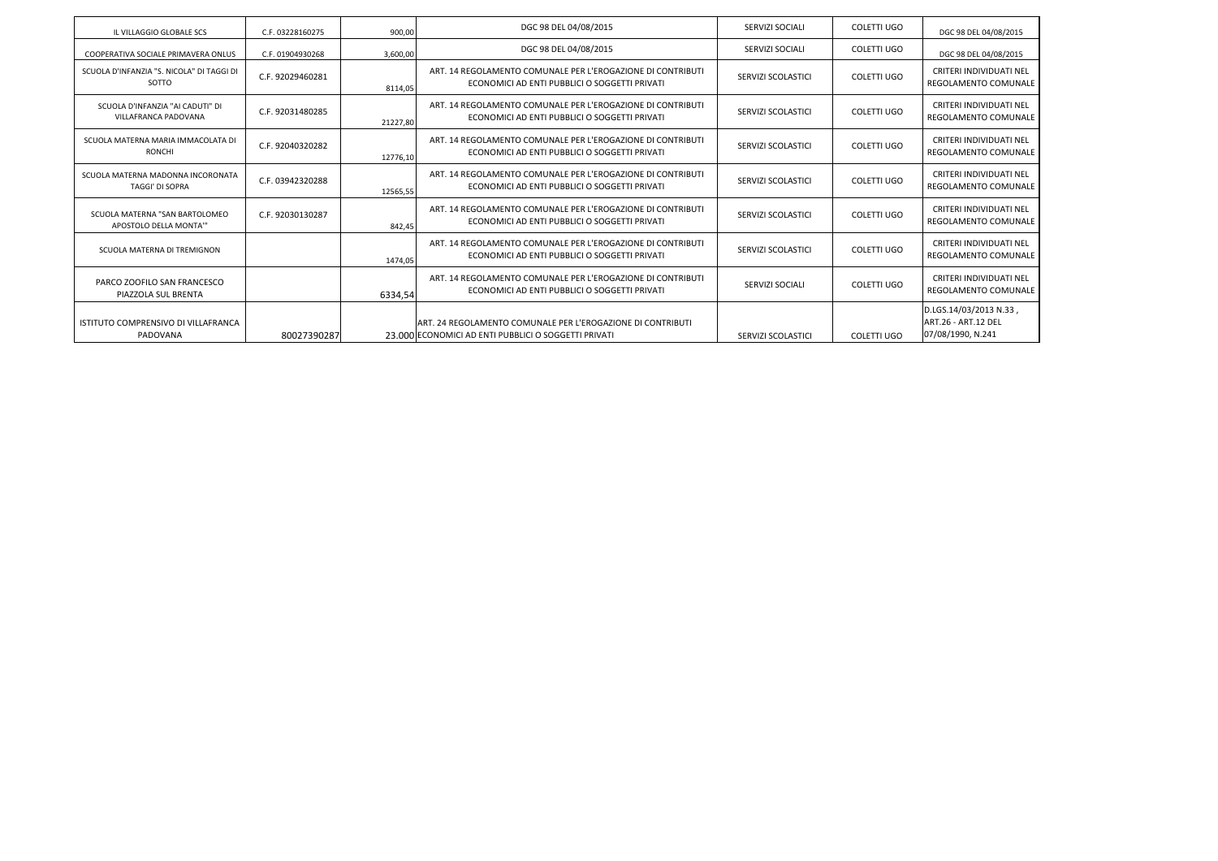| IL VILLAGGIO GLOBALE SCS                                    | C.F. 03228160275 | 900,00   | DGC 98 DEL 04/08/2015                                                                                               | SERVIZI SOCIALI    | <b>COLETTI UGO</b> | DGC 98 DEL 04/08/2015                                                     |
|-------------------------------------------------------------|------------------|----------|---------------------------------------------------------------------------------------------------------------------|--------------------|--------------------|---------------------------------------------------------------------------|
| COOPERATIVA SOCIALE PRIMAVERA ONLUS                         | C.F. 01904930268 | 3,600,00 | DGC 98 DEL 04/08/2015                                                                                               | SERVIZI SOCIALI    | COLETTI UGO        | DGC 98 DEL 04/08/2015                                                     |
| SCUOLA D'INFANZIA "S. NICOLA" DI TAGGI DI<br>SOTTO          | C.F. 92029460281 | 8114.05  | ART. 14 REGOLAMENTO COMUNALE PER L'EROGAZIONE DI CONTRIBUTI<br>ECONOMICI AD ENTI PUBBLICI O SOGGETTI PRIVATI        | SERVIZI SCOLASTICI | <b>COLETTI UGO</b> | <b>CRITERI INDIVIDUATI NEL</b><br><b>REGOLAMENTO COMUNALE</b>             |
| SCUOLA D'INFANZIA "AI CADUTI" DI<br>VILLAFRANCA PADOVANA    | C.F. 92031480285 | 21227.80 | ART, 14 REGOLAMENTO COMUNALE PER L'EROGAZIONE DI CONTRIBUTI<br>ECONOMICI AD ENTI PUBBLICI O SOGGETTI PRIVATI        | SERVIZI SCOLASTICI | COLETTI UGO        | CRITERI INDIVIDUATI NEL<br><b>REGOLAMENTO COMUNALE</b>                    |
| SCUOLA MATERNA MARIA IMMACOLATA DI<br><b>RONCHI</b>         | C.F. 92040320282 | 12776.10 | ART. 14 REGOLAMENTO COMUNALE PER L'EROGAZIONE DI CONTRIBUTI<br>ECONOMICI AD ENTI PUBBLICI O SOGGETTI PRIVATI        | SERVIZI SCOLASTICI | <b>COLETTI UGO</b> | CRITERI INDIVIDUATI NEL<br><b>REGOLAMENTO COMUNALE</b>                    |
| SCUOLA MATERNA MADONNA INCORONATA<br><b>TAGGI' DI SOPRA</b> | C.F. 03942320288 | 12565,55 | ART, 14 REGOLAMENTO COMUNALE PER L'EROGAZIONE DI CONTRIBUTI<br>ECONOMICI AD ENTI PUBBLICI O SOGGETTI PRIVATI        | SERVIZI SCOLASTICI | <b>COLETTI UGO</b> | <b>CRITERI INDIVIDUATI NEL</b><br><b>REGOLAMENTO COMUNALE</b>             |
| SCUOLA MATERNA "SAN BARTOLOMEO<br>APOSTOLO DELLA MONTA"     | C.F. 92030130287 | 842.45   | ART. 14 REGOLAMENTO COMUNALE PER L'EROGAZIONE DI CONTRIBUTI<br>ECONOMICI AD ENTI PUBBLICI O SOGGETTI PRIVATI        | SERVIZI SCOLASTICI | <b>COLETTI UGO</b> | <b>CRITERI INDIVIDUATI NEL</b><br><b>REGOLAMENTO COMUNALE</b>             |
| SCUOLA MATERNA DI TREMIGNON                                 |                  | 1474.05  | ART. 14 REGOLAMENTO COMUNALE PER L'EROGAZIONE DI CONTRIBUTI<br>ECONOMICI AD ENTI PUBBLICI O SOGGETTI PRIVATI        | SERVIZI SCOLASTICI | <b>COLETTI UGO</b> | <b>CRITERI INDIVIDUATI NEL</b><br><b>REGOLAMENTO COMUNALE</b>             |
| PARCO ZOOFILO SAN FRANCESCO<br>PIAZZOLA SUL BRENTA          |                  | 6334,54  | ART. 14 REGOLAMENTO COMUNALE PER L'EROGAZIONE DI CONTRIBUTI<br>ECONOMICI AD ENTI PUBBLICI O SOGGETTI PRIVATI        | SERVIZI SOCIALI    | COLETTI UGO        | <b>CRITERI INDIVIDUATI NEL</b><br><b>REGOLAMENTO COMUNALE</b>             |
| ISTITUTO COMPRENSIVO DI VILLAFRANCA<br>PADOVANA             | 80027390287      |          | ART. 24 REGOLAMENTO COMUNALE PER L'EROGAZIONE DI CONTRIBUTI<br>23.000 ECONOMICI AD ENTI PUBBLICI O SOGGETTI PRIVATI | SERVIZI SCOLASTICI | COLETTI UGO        | D.LGS.14/03/2013 N.33,<br><b>ART.26 - ART.12 DEL</b><br>07/08/1990, N.241 |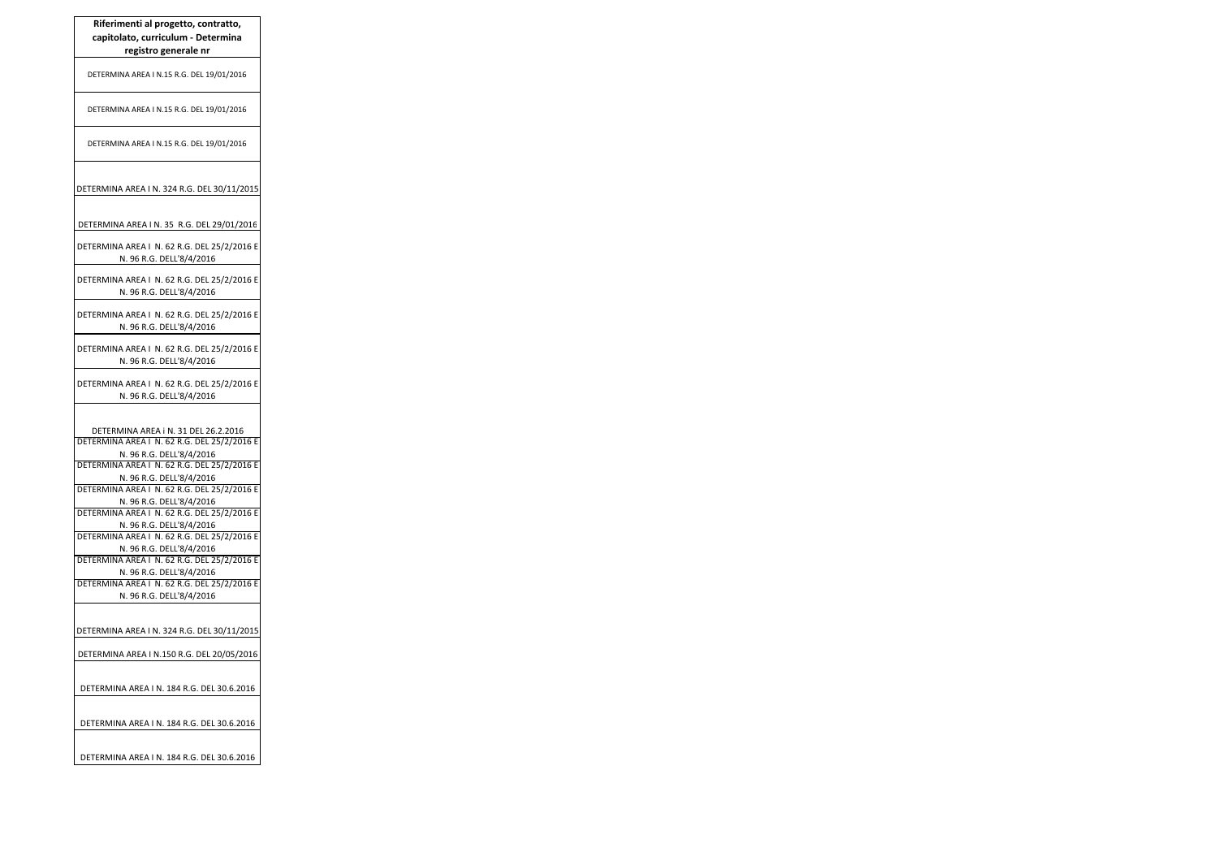| capitolato, curriculum - Determina<br>registro generale nr                                                                                                                                 |
|--------------------------------------------------------------------------------------------------------------------------------------------------------------------------------------------|
| DETERMINA AREA I N.15 R.G. DEL 19/01/2016                                                                                                                                                  |
| DETERMINA AREA I N.15 R.G. DEL 19/01/2016                                                                                                                                                  |
| DETERMINA AREA I N.15 R.G. DEL 19/01/2016                                                                                                                                                  |
| DETERMINA AREA I N. 324 R.G. DEL 30/11/2015                                                                                                                                                |
| DETERMINA AREA I N. 35 R.G. DEL 29/01/2016                                                                                                                                                 |
| DETERMINA AREA I N. 62 R.G. DEL 25/2/2016 E<br>N. 96 R.G. DELL'8/4/2016                                                                                                                    |
| DETERMINA AREA I N. 62 R.G. DEL 25/2/2016 E<br>N. 96 R.G. DELL'8/4/2016                                                                                                                    |
| DETERMINA AREA I N. 62 R.G. DEL 25/2/2016 E<br>N. 96 R.G. DELL'8/4/2016                                                                                                                    |
| DETERMINA AREA I N. 62 R.G. DEL 25/2/2016 E<br>N. 96 R.G. DELL'8/4/2016                                                                                                                    |
| DETERMINA AREA I N. 62 R.G. DEL 25/2/2016 E<br>N. 96 R.G. DELL'8/4/2016                                                                                                                    |
| DETERMINA AREA i N. 31 DEL 26.2.2016<br>DETERMINA AREA I N. 62 R.G. DEL 25/2/2016 E<br>N. 96 R.G. DELL'8/4/2016<br>DETERMINA AREA I N. 62 R.G. DEL 25/2/2016 E<br>N. 96 R.G. DELL'8/4/2016 |
| DETERMINA AREA I N. 62 R.G. DEL 25/2/2016 E<br>N. 96 R.G. DELL'8/4/2016<br>DETERMINA AREA   N. 62 R.G. DEL 25/2/2016 E                                                                     |
| N. 96 R.G. DELL'8/4/2016<br>DETERMINA AREA   N. 62 R.G. DEL 25/2/2016 E<br>N. 96 R.G. DELL'8/4/2016                                                                                        |
| DETERMINA AREA I N. 62 R.G. DEL 25/2/2016 E<br>N. 96 R.G. DELL'8/4/2016                                                                                                                    |
| DETERMINA AREA   N. 62 R.G. DEL 25/2/2016 E<br>N. 96 R.G. DELL'8/4/2016                                                                                                                    |
| DETERMINA AREA I N. 324 R.G. DEL 30/11/2015                                                                                                                                                |
| DETERMINA AREA I N.150 R.G. DEL 20/05/2016                                                                                                                                                 |
| DETERMINA AREA I N. 184 R.G. DEL 30.6.2016                                                                                                                                                 |
| DETERMINA AREA I N. 184 R.G. DEL 30.6.2016                                                                                                                                                 |
| DETERMINA AREA I N. 184 R.G. DEL 30.6.2016                                                                                                                                                 |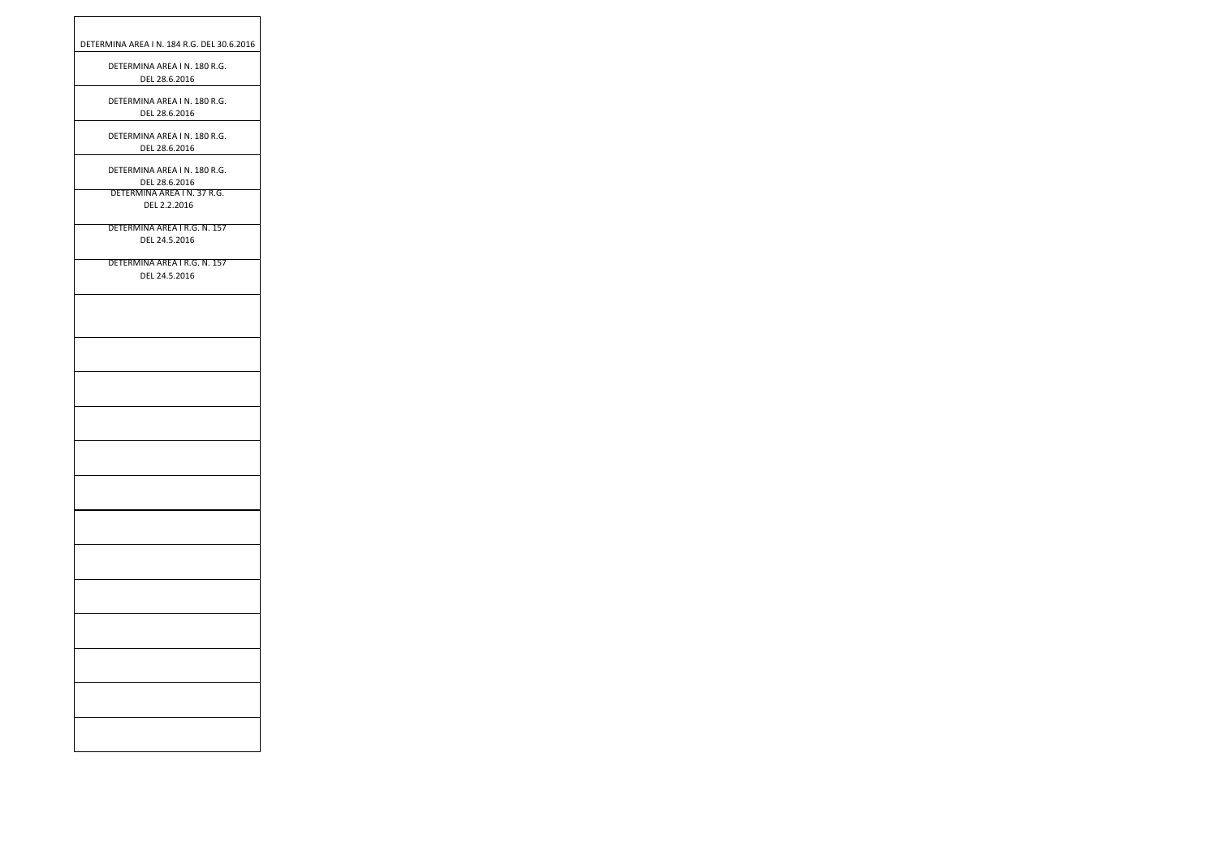| DETERMINA AREA I N. 184 R.G. DEL 30.6.2016    |
|-----------------------------------------------|
| DETERMINA AREA IN. 180 R.G.<br>DEL 28.6.2016  |
| DETERMINA AREA I N. 180 R.G.<br>DEL 28.6.2016 |
| DETERMINA AREA I N. 180 R.G.<br>DEL 28.6.2016 |
| DETERMINA AREA I N. 180 R.G.<br>DEL 28.6.2016 |
| DETERMINA AREA I N. 37 R.G.<br>DEL 2.2.2016   |
| DETERMINA AREA I R.G. N. 157<br>DEL 24.5.2016 |
| DETERMINA AREA I R.G. N. 157<br>DEL 24.5.2016 |
|                                               |
|                                               |
|                                               |
|                                               |
|                                               |
|                                               |
|                                               |
|                                               |
|                                               |
|                                               |
|                                               |
|                                               |
|                                               |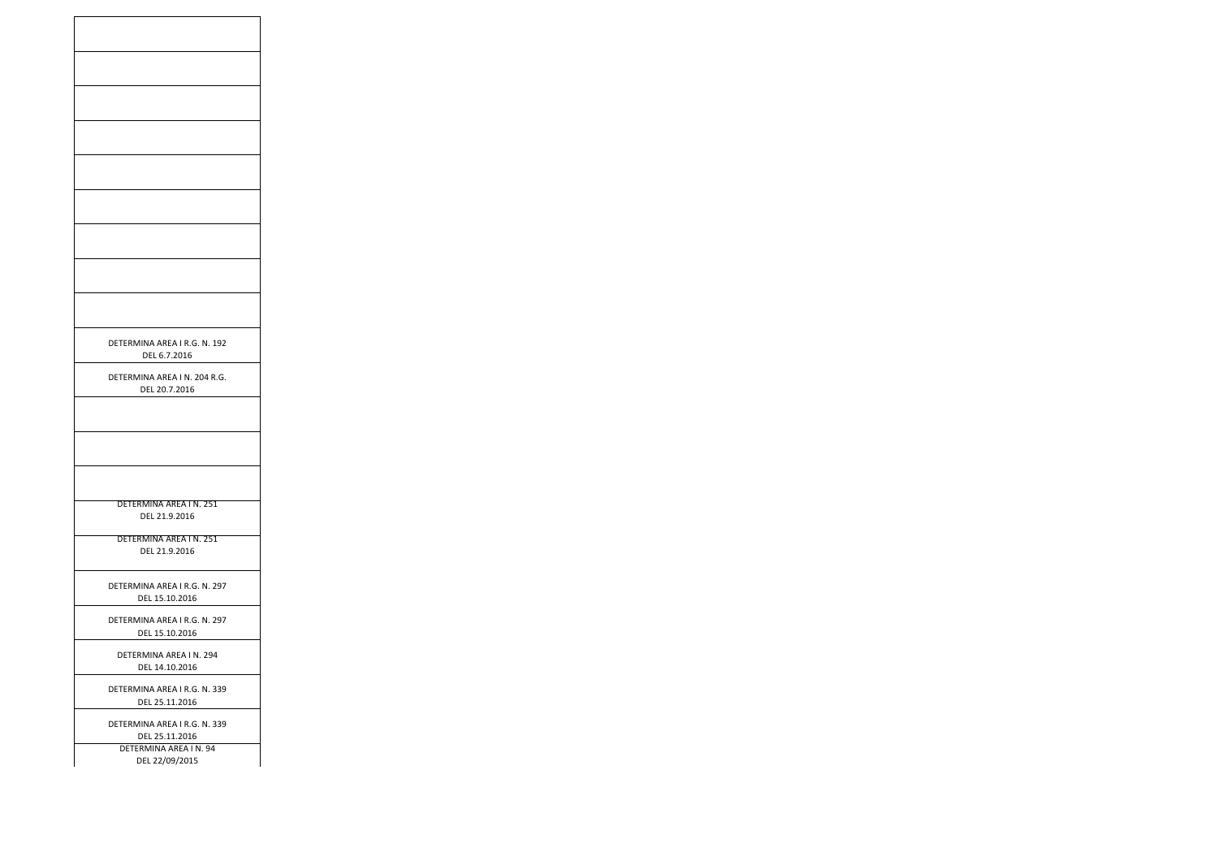| DETERMINA AREA I R.G. N. 192<br>DEL 6.7.2016   |
|------------------------------------------------|
| DETERMINA AREA I N. 204 R.G.<br>DEL 20.7.2016  |
|                                                |
|                                                |
|                                                |
| DETERMINA AREA IN. 251<br>DEL 21.9.2016        |
| DETERMINA AREA IN. 251<br>DEL 21.9.2016        |
| DETERMINA AREA I R.G. N. 297<br>DEL 15.10.2016 |
| DETERMINA AREA I R.G. N. 297<br>DEL 15.10.2016 |
| DETERMINA AREA IN. 294<br>DEL 14.10.2016       |
| DETERMINA AREA I R.G. N. 339<br>DEL 25.11.2016 |
| DETERMINA AREA I R.G. N. 339<br>DEL 25.11.2016 |
| DETERMINA AREA IN. 94<br>DEL 22/09/2015        |